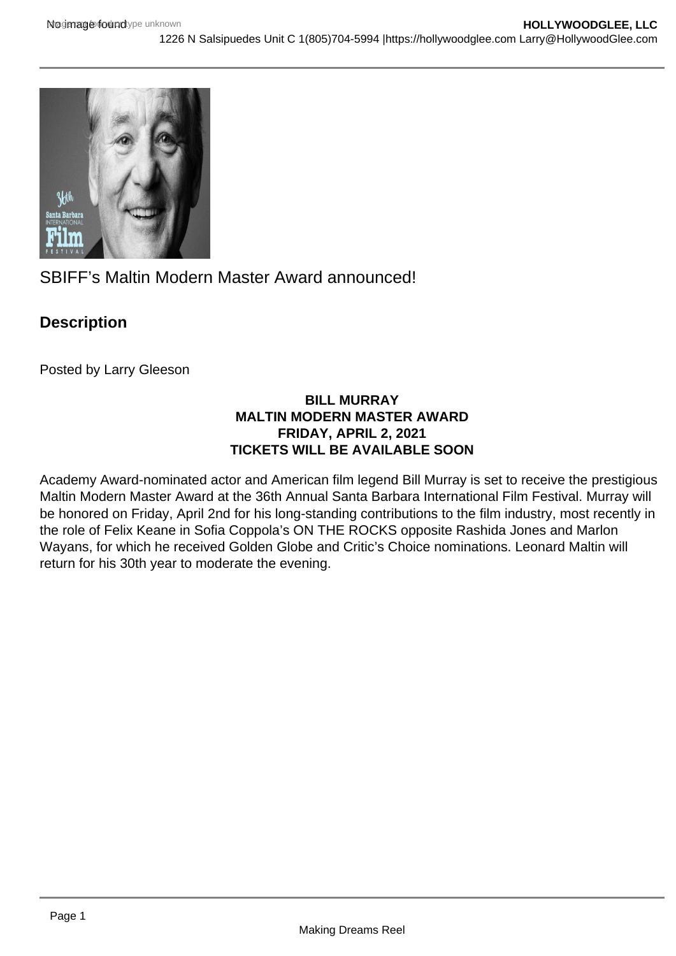

SBIFF's Maltin Modern Master Award announced!

## **Description**

Posted by Larry Gleeson

## **BILL MURRAY MALTIN MODERN MASTER AWARD FRIDAY, APRIL 2, 2021 TICKETS WILL BE AVAILABLE SOON**

Academy Award-nominated actor and American film legend Bill Murray is set to receive the prestigious Maltin Modern Master Award at the 36th Annual Santa Barbara International Film Festival. Murray will be honored on Friday, April 2nd for his long-standing contributions to the film industry, most recently in the role of Felix Keane in Sofia Coppola's ON THE ROCKS opposite Rashida Jones and Marlon Wayans, for which he received Golden Globe and Critic's Choice nominations. Leonard Maltin will return for his 30th year to moderate the evening.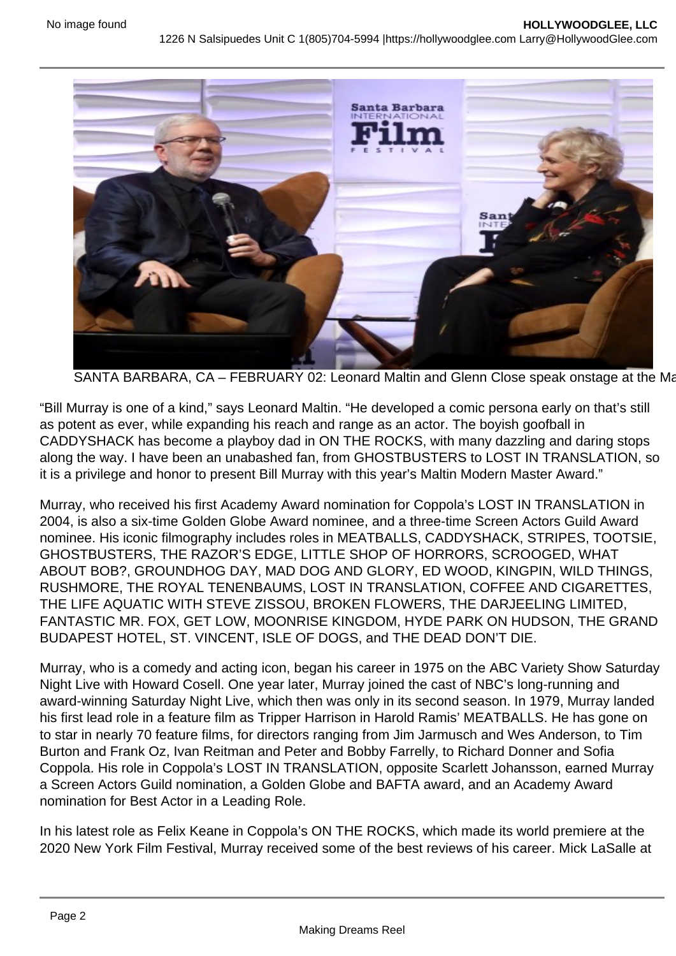SANTA BARBARA, CA – FEBRUARY 02: Leonard Maltin and Glenn Close speak onstage at the Ma

"Bill Murray is one of a kind," says Leonard Maltin. "He developed a comic persona early on that's still as potent as ever, while expanding his reach and range as an actor. The boyish goofball in CADDYSHACK has become a playboy dad in ON THE ROCKS, with many dazzling and daring stops along the way. I have been an unabashed fan, from GHOSTBUSTERS to LOST IN TRANSLATION, so it is a privilege and honor to present Bill Murray with this year's Maltin Modern Master Award."

Murray, who received his first Academy Award nomination for Coppola's LOST IN TRANSLATION in 2004, is also a six-time Golden Globe Award nominee, and a three-time Screen Actors Guild Award nominee. His iconic filmography includes roles in MEATBALLS, CADDYSHACK, STRIPES, TOOTSIE, GHOSTBUSTERS, THE RAZOR'S EDGE, LITTLE SHOP OF HORRORS, SCROOGED, WHAT ABOUT BOB?, GROUNDHOG DAY, MAD DOG AND GLORY, ED WOOD, KINGPIN, WILD THINGS, RUSHMORE, THE ROYAL TENENBAUMS, LOST IN TRANSLATION, COFFEE AND CIGARETTES, THE LIFE AQUATIC WITH STEVE ZISSOU, BROKEN FLOWERS, THE DARJEELING LIMITED, FANTASTIC MR. FOX, GET LOW, MOONRISE KINGDOM, HYDE PARK ON HUDSON, THE GRAND BUDAPEST HOTEL, ST. VINCENT, ISLE OF DOGS, and THE DEAD DON'T DIE.

Murray, who is a comedy and acting icon, began his career in 1975 on the ABC Variety Show Saturday Night Live with Howard Cosell. One year later, Murray joined the cast of NBC's long-running and award-winning Saturday Night Live, which then was only in its second season. In 1979, Murray landed his first lead role in a feature film as Tripper Harrison in Harold Ramis' MEATBALLS. He has gone on to star in nearly 70 feature films, for directors ranging from Jim Jarmusch and Wes Anderson, to Tim Burton and Frank Oz, Ivan Reitman and Peter and Bobby Farrelly, to Richard Donner and Sofia Coppola. His role in Coppola's LOST IN TRANSLATION, opposite Scarlett Johansson, earned Murray a Screen Actors Guild nomination, a Golden Globe and BAFTA award, and an Academy Award nomination for Best Actor in a Leading Role.

In his latest role as Felix Keane in Coppola's ON THE ROCKS, which made its world premiere at the 2020 New York Film Festival, Murray received some of the best reviews of his career. Mick LaSalle at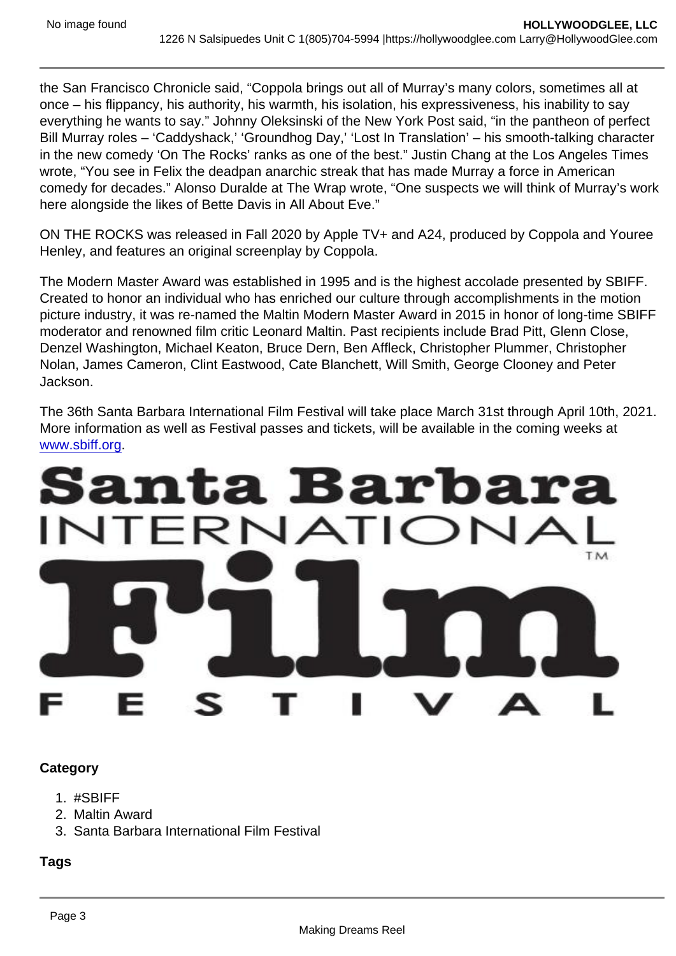the San Francisco Chronicle said, "Coppola brings out all of Murray's many colors, sometimes all at once – his flippancy, his authority, his warmth, his isolation, his expressiveness, his inability to say everything he wants to say." Johnny Oleksinski of the New York Post said, "in the pantheon of perfect Bill Murray roles – 'Caddyshack,' 'Groundhog Day,' 'Lost In Translation' – his smooth-talking character in the new comedy 'On The Rocks' ranks as one of the best." Justin Chang at the Los Angeles Times wrote, "You see in Felix the deadpan anarchic streak that has made Murray a force in American comedy for decades." Alonso Duralde at The Wrap wrote, "One suspects we will think of Murray's work here alongside the likes of Bette Davis in All About Eve."

ON THE ROCKS was released in Fall 2020 by Apple TV+ and A24, produced by Coppola and Youree Henley, and features an original screenplay by Coppola.

The Modern Master Award was established in 1995 and is the highest accolade presented by SBIFF. Created to honor an individual who has enriched our culture through accomplishments in the motion picture industry, it was re-named the Maltin Modern Master Award in 2015 in honor of long-time SBIFF moderator and renowned film critic Leonard Maltin. Past recipients include Brad Pitt, Glenn Close, Denzel Washington, Michael Keaton, Bruce Dern, Ben Affleck, Christopher Plummer, Christopher Nolan, James Cameron, Clint Eastwood, Cate Blanchett, Will Smith, George Clooney and Peter Jackson.

The 36th Santa Barbara International Film Festival will take place March 31st through April 10th, 2021. More information as well as Festival passes and tickets, will be available in the coming weeks at [www.sbiff.org](http://www.sbiff.org).

**Category** 

- 1. #SBIFF
- 2. Maltin Award
- 3. Santa Barbara International Film Festival

Tags